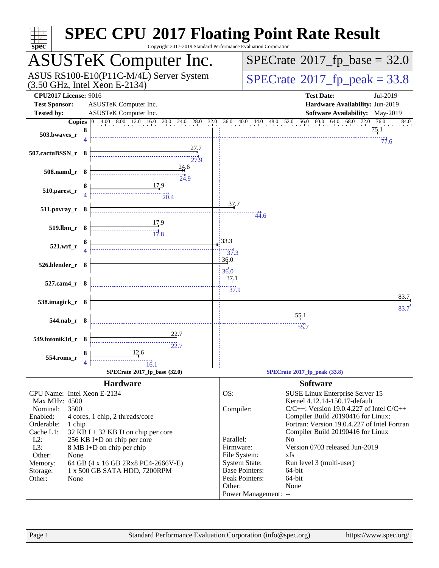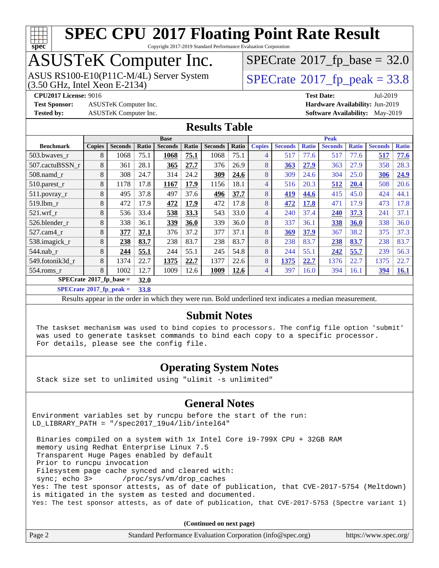

Copyright 2017-2019 Standard Performance Evaluation Corporation

# ASUSTeK Computer Inc.

(3.50 GHz, Intel Xeon E-2134) ASUS RS100-E10(P11C-M/4L) Server System  $SPECrate^{\circ}2017$  $SPECrate^{\circ}2017$  [p\_peak = 33.8

 $SPECTate@2017_fp\_base = 32.0$ 

**[Test Sponsor:](http://www.spec.org/auto/cpu2017/Docs/result-fields.html#TestSponsor)** ASUSTeK Computer Inc. **[Hardware Availability:](http://www.spec.org/auto/cpu2017/Docs/result-fields.html#HardwareAvailability)** Jun-2019

**[CPU2017 License:](http://www.spec.org/auto/cpu2017/Docs/result-fields.html#CPU2017License)** 9016 **[Test Date:](http://www.spec.org/auto/cpu2017/Docs/result-fields.html#TestDate)** Jul-2019 **[Tested by:](http://www.spec.org/auto/cpu2017/Docs/result-fields.html#Testedby)** ASUSTeK Computer Inc. **[Software Availability:](http://www.spec.org/auto/cpu2017/Docs/result-fields.html#SoftwareAvailability)** May-2019

#### **[Results Table](http://www.spec.org/auto/cpu2017/Docs/result-fields.html#ResultsTable)**

|                                   | <b>Base</b>   |                |       |                |       | <b>Peak</b>    |       |               |                |              |                |              |                |              |
|-----------------------------------|---------------|----------------|-------|----------------|-------|----------------|-------|---------------|----------------|--------------|----------------|--------------|----------------|--------------|
| <b>Benchmark</b>                  | <b>Copies</b> | <b>Seconds</b> | Ratio | <b>Seconds</b> | Ratio | <b>Seconds</b> | Ratio | <b>Copies</b> | <b>Seconds</b> | <b>Ratio</b> | <b>Seconds</b> | <b>Ratio</b> | <b>Seconds</b> | <b>Ratio</b> |
| 503.bwaves_r                      | 8             | 1068           | 75.1  | 1068           | 75.1  | 1068           | 75.1  | 4             | 517            | 77.6         | 517            | 77.6         | 517            | 77.6         |
| 507.cactuBSSN r                   | 8             | 361            | 28.1  | 365            | 27.7  | 376            | 26.9  | 8             | 363            | 27.9         | 363            | 27.9         | 358            | 28.3         |
| $508$ .namd $r$                   | 8             | 308            | 24.7  | 314            | 24.2  | 309            | 24.6  | 8             | 309            | 24.6         | 304            | 25.0         | 306            | 24.9         |
| 510.parest_r                      | 8             | 1178           | 17.8  | 1167           | 17.9  | 1156           | 18.1  | 4             | 516            | 20.3         | 512            | 20.4         | 508            | 20.6         |
| 511.povray_r                      | 8             | 495            | 37.8  | 497            | 37.6  | 496            | 37.7  | 8             | 419            | 44.6         | 415            | 45.0         | 424            | 44.1         |
| 519.1bm r                         | 8             | 472            | 17.9  | 472            | 17.9  | 472            | 17.8  | 8             | 472            | 17.8         | 471            | 17.9         | 473            | 17.8         |
| $521$ .wrf r                      | 8             | 536            | 33.4  | 538            | 33.3  | 543            | 33.0  | 4             | 240            | 37.4         | 240            | 37.3         | 241            | 37.1         |
| 526.blender r                     | 8             | 338            | 36.1  | 339            | 36.0  | 339            | 36.0  | 8             | 337            | 36.1         | 338            | 36.0         | 338            | 36.0         |
| $527.cam4_r$                      | 8             | 377            | 37.1  | 376            | 37.2  | 377            | 37.1  | 8             | 369            | 37.9         | 367            | 38.2         | 375            | 37.3         |
| 538.imagick_r                     | 8             | 238            | 83.7  | 238            | 83.7  | 238            | 83.7  | 8             | 238            | 83.7         | 238            | 83.7         | 238            | 83.7         |
| $544$ .nab_r                      | 8             | 244            | 55.1  | 244            | 55.1  | 245            | 54.8  | 8             | 244            | 55.1         | 242            | 55.7         | 239            | 56.3         |
| 549.fotonik3d r                   | 8             | 1374           | 22.7  | 1375           | 22.7  | 1377           | 22.6  | 8             | 1375           | 22.7         | 1376           | 22.7         | 1375           | 22.7         |
| $554$ .roms_r                     | 8             | 1002           | 12.7  | 1009           | 12.6  | 1009           | 12.6  | 4             | 397            | 16.0         | 394            | 16.1         | 394            | <b>16.1</b>  |
| $SPECrate^{\circ}2017$ _fp_base = |               |                | 32.0  |                |       |                |       |               |                |              |                |              |                |              |

**[SPECrate](http://www.spec.org/auto/cpu2017/Docs/result-fields.html#SPECrate2017fppeak)[2017\\_fp\\_peak =](http://www.spec.org/auto/cpu2017/Docs/result-fields.html#SPECrate2017fppeak) 33.8**

Results appear in the [order in which they were run](http://www.spec.org/auto/cpu2017/Docs/result-fields.html#RunOrder). Bold underlined text [indicates a median measurement](http://www.spec.org/auto/cpu2017/Docs/result-fields.html#Median).

#### **[Submit Notes](http://www.spec.org/auto/cpu2017/Docs/result-fields.html#SubmitNotes)**

 The taskset mechanism was used to bind copies to processors. The config file option 'submit' was used to generate taskset commands to bind each copy to a specific processor. For details, please see the config file.

#### **[Operating System Notes](http://www.spec.org/auto/cpu2017/Docs/result-fields.html#OperatingSystemNotes)**

Stack size set to unlimited using "ulimit -s unlimited"

#### **[General Notes](http://www.spec.org/auto/cpu2017/Docs/result-fields.html#GeneralNotes)**

Environment variables set by runcpu before the start of the run: LD\_LIBRARY\_PATH = "/spec2017\_19u4/lib/intel64"

 Binaries compiled on a system with 1x Intel Core i9-799X CPU + 32GB RAM memory using Redhat Enterprise Linux 7.5 Transparent Huge Pages enabled by default Prior to runcpu invocation Filesystem page cache synced and cleared with: sync; echo 3> /proc/sys/vm/drop\_caches Yes: The test sponsor attests, as of date of publication, that CVE-2017-5754 (Meltdown) is mitigated in the system as tested and documented. Yes: The test sponsor attests, as of date of publication, that CVE-2017-5753 (Spectre variant 1)

**(Continued on next page)**

| Page 2 | Standard Performance Evaluation Corporation (info@spec.org) | https://www.spec.org/ |
|--------|-------------------------------------------------------------|-----------------------|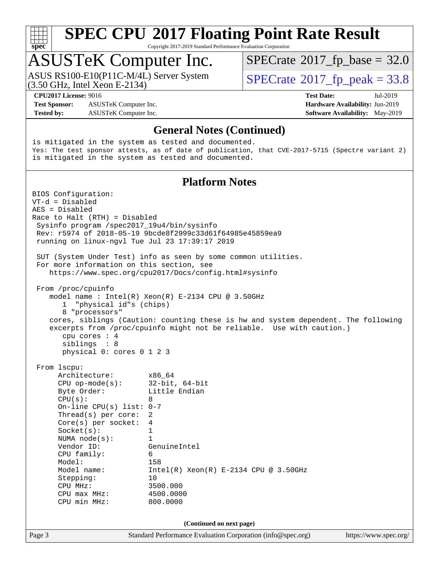

Copyright 2017-2019 Standard Performance Evaluation Corporation

### ASUSTeK Computer Inc.

(3.50 GHz, Intel Xeon E-2134) ASUS RS100-E10(P11C-M/4L) Server System  $SPECrate^{\circ}2017$  $SPECrate^{\circ}2017$  [p\_peak = 33.8

 $SPECTate@2017_fp\_base = 32.0$ 

**[Test Sponsor:](http://www.spec.org/auto/cpu2017/Docs/result-fields.html#TestSponsor)** ASUSTeK Computer Inc. **[Hardware Availability:](http://www.spec.org/auto/cpu2017/Docs/result-fields.html#HardwareAvailability)** Jun-2019 **[Tested by:](http://www.spec.org/auto/cpu2017/Docs/result-fields.html#Testedby)** ASUSTeK Computer Inc. **[Software Availability:](http://www.spec.org/auto/cpu2017/Docs/result-fields.html#SoftwareAvailability)** May-2019

**[CPU2017 License:](http://www.spec.org/auto/cpu2017/Docs/result-fields.html#CPU2017License)** 9016 **[Test Date:](http://www.spec.org/auto/cpu2017/Docs/result-fields.html#TestDate)** Jul-2019

#### **[General Notes \(Continued\)](http://www.spec.org/auto/cpu2017/Docs/result-fields.html#GeneralNotes)**

is mitigated in the system as tested and documented. Yes: The test sponsor attests, as of date of publication, that CVE-2017-5715 (Spectre variant 2) is mitigated in the system as tested and documented.

#### **[Platform Notes](http://www.spec.org/auto/cpu2017/Docs/result-fields.html#PlatformNotes)**

Page 3 Standard Performance Evaluation Corporation [\(info@spec.org\)](mailto:info@spec.org) <https://www.spec.org/> BIOS Configuration: VT-d = Disabled AES = Disabled Race to Halt (RTH) = Disabled Sysinfo program /spec2017\_19u4/bin/sysinfo Rev: r5974 of 2018-05-19 9bcde8f2999c33d61f64985e45859ea9 running on linux-ngvl Tue Jul 23 17:39:17 2019 SUT (System Under Test) info as seen by some common utilities. For more information on this section, see <https://www.spec.org/cpu2017/Docs/config.html#sysinfo> From /proc/cpuinfo model name : Intel(R) Xeon(R) E-2134 CPU @ 3.50GHz 1 "physical id"s (chips) 8 "processors" cores, siblings (Caution: counting these is hw and system dependent. The following excerpts from /proc/cpuinfo might not be reliable. Use with caution.) cpu cores : 4 siblings : 8 physical 0: cores 0 1 2 3 From lscpu: Architecture: x86\_64 CPU op-mode(s): 32-bit, 64-bit Byte Order: Little Endian  $CPU(s):$  8 On-line CPU(s) list: 0-7 Thread(s) per core: 2 Core(s) per socket: 4 Socket(s): 1 NUMA node(s): 1 Vendor ID: GenuineIntel CPU family: 6<br>Model: 158 Model:<br>Model name:  $Intel(R)$  Xeon(R) E-2134 CPU @ 3.50GHz Stepping: 10 CPU MHz: 3500.000 CPU max MHz: 4500.0000 CPU min MHz: 800.0000 **(Continued on next page)**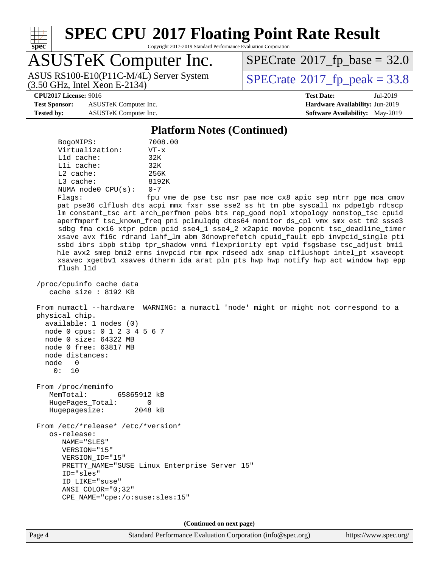

Copyright 2017-2019 Standard Performance Evaluation Corporation

### ASUSTeK Computer Inc.

(3.50 GHz, Intel Xeon E-2134) ASUS RS100-E10(P11C-M/4L) Server System  $SPECrate^{\circ}2017$  $SPECrate^{\circ}2017$  [p\_peak = 33.8

 $SPECTate@2017_fp\_base = 32.0$ 

**[Test Sponsor:](http://www.spec.org/auto/cpu2017/Docs/result-fields.html#TestSponsor)** ASUSTeK Computer Inc. **[Hardware Availability:](http://www.spec.org/auto/cpu2017/Docs/result-fields.html#HardwareAvailability)** Jun-2019 **[Tested by:](http://www.spec.org/auto/cpu2017/Docs/result-fields.html#Testedby)** ASUSTeK Computer Inc. **[Software Availability:](http://www.spec.org/auto/cpu2017/Docs/result-fields.html#SoftwareAvailability)** May-2019

**[CPU2017 License:](http://www.spec.org/auto/cpu2017/Docs/result-fields.html#CPU2017License)** 9016 **[Test Date:](http://www.spec.org/auto/cpu2017/Docs/result-fields.html#TestDate)** Jul-2019

#### **[Platform Notes \(Continued\)](http://www.spec.org/auto/cpu2017/Docs/result-fields.html#PlatformNotes)**

| BogoMIPS:          | 7008.00              |  |  |  |
|--------------------|----------------------|--|--|--|
| Virtualization:    | $VT - x$             |  |  |  |
| $L1d$ cache:       | 32K                  |  |  |  |
| $L1i$ cache:       | 32K                  |  |  |  |
| $L2$ cache:        | 256K                 |  |  |  |
| $L3$ cache:        | 8192K                |  |  |  |
| NUMA node0 CPU(s): | $0 - 7$              |  |  |  |
| Flace:             | ≙מ <i>חז</i> י וות f |  |  |  |

Flags: fpu vme de pse tsc msr pae mce cx8 apic sep mtrr pge mca cmov pat pse36 clflush dts acpi mmx fxsr sse sse2 ss ht tm pbe syscall nx pdpe1gb rdtscp lm constant\_tsc art arch\_perfmon pebs bts rep\_good nopl xtopology nonstop\_tsc cpuid aperfmperf tsc\_known\_freq pni pclmulqdq dtes64 monitor ds\_cpl vmx smx est tm2 ssse3 sdbg fma cx16 xtpr pdcm pcid sse4\_1 sse4\_2 x2apic movbe popcnt tsc\_deadline\_timer xsave avx f16c rdrand lahf\_lm abm 3dnowprefetch cpuid\_fault epb invpcid\_single pti ssbd ibrs ibpb stibp tpr\_shadow vnmi flexpriority ept vpid fsgsbase tsc\_adjust bmi1 hle avx2 smep bmi2 erms invpcid rtm mpx rdseed adx smap clflushopt intel\_pt xsaveopt xsavec xgetbv1 xsaves dtherm ida arat pln pts hwp hwp\_notify hwp\_act\_window hwp\_epp flush\_l1d

 /proc/cpuinfo cache data cache size : 8192 KB

 From numactl --hardware WARNING: a numactl 'node' might or might not correspond to a physical chip.

 available: 1 nodes (0) node 0 cpus: 0 1 2 3 4 5 6 7 node 0 size: 64322 MB node 0 free: 63817 MB node distances: node 0 0: 10

 From /proc/meminfo MemTotal: 65865912 kB HugePages\_Total: 0 Hugepagesize: 2048 kB

 From /etc/\*release\* /etc/\*version\* os-release: NAME="SLES" VERSION="15" VERSION\_ID="15" PRETTY\_NAME="SUSE Linux Enterprise Server 15" ID="sles" ID\_LIKE="suse" ANSI\_COLOR="0;32" CPE\_NAME="cpe:/o:suse:sles:15"

**(Continued on next page)**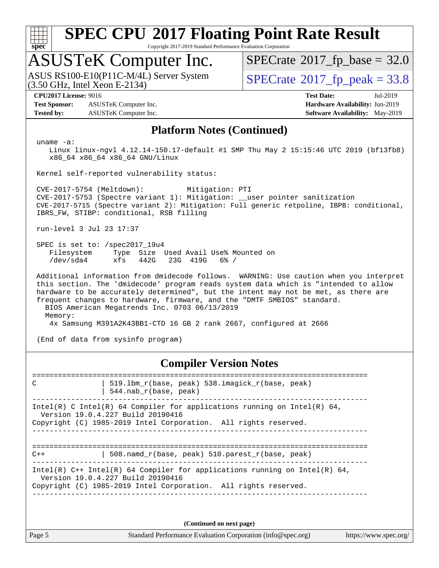

Copyright 2017-2019 Standard Performance Evaluation Corporation

### ASUSTeK Computer Inc.

(3.50 GHz, Intel Xeon E-2134) ASUS RS100-E10(P11C-M/4L) Server System  $SPECrate^{\circ}2017$  $SPECrate^{\circ}2017$  [p\_peak = 33.8

 $SPECTate@2017_fp\_base = 32.0$ 

**[Test Sponsor:](http://www.spec.org/auto/cpu2017/Docs/result-fields.html#TestSponsor)** ASUSTeK Computer Inc. **[Hardware Availability:](http://www.spec.org/auto/cpu2017/Docs/result-fields.html#HardwareAvailability)** Jun-2019 **[Tested by:](http://www.spec.org/auto/cpu2017/Docs/result-fields.html#Testedby)** ASUSTeK Computer Inc. **[Software Availability:](http://www.spec.org/auto/cpu2017/Docs/result-fields.html#SoftwareAvailability)** May-2019

**[CPU2017 License:](http://www.spec.org/auto/cpu2017/Docs/result-fields.html#CPU2017License)** 9016 **[Test Date:](http://www.spec.org/auto/cpu2017/Docs/result-fields.html#TestDate)** Jul-2019

#### **[Platform Notes \(Continued\)](http://www.spec.org/auto/cpu2017/Docs/result-fields.html#PlatformNotes)**

uname -a:

 Linux linux-ngvl 4.12.14-150.17-default #1 SMP Thu May 2 15:15:46 UTC 2019 (bf13fb8) x86\_64 x86\_64 x86\_64 GNU/Linux

Kernel self-reported vulnerability status:

 CVE-2017-5754 (Meltdown): Mitigation: PTI CVE-2017-5753 (Spectre variant 1): Mitigation: \_\_user pointer sanitization CVE-2017-5715 (Spectre variant 2): Mitigation: Full generic retpoline, IBPB: conditional, IBRS\_FW, STIBP: conditional, RSB filling

run-level 3 Jul 23 17:37

 SPEC is set to: /spec2017\_19u4 Filesystem Type Size Used Avail Use% Mounted on /dev/sda4 xfs 442G 23G 419G 6% /

 Additional information from dmidecode follows. WARNING: Use caution when you interpret this section. The 'dmidecode' program reads system data which is "intended to allow hardware to be accurately determined", but the intent may not be met, as there are frequent changes to hardware, firmware, and the "DMTF SMBIOS" standard. BIOS American Megatrends Inc. 0703 06/13/2019 Memory: 4x Samsung M391A2K43BB1-CTD 16 GB 2 rank 2667, configured at 2666

(End of data from sysinfo program)

#### **[Compiler Version Notes](http://www.spec.org/auto/cpu2017/Docs/result-fields.html#CompilerVersionNotes)**

============================================================================== C | 519.lbm\_r(base, peak) 538.imagick\_r(base, peak) | 544.nab\_r(base, peak) ------------------------------------------------------------------------------ Intel(R) C Intel(R) 64 Compiler for applications running on Intel(R)  $64$ , Version 19.0.4.227 Build 20190416 Copyright (C) 1985-2019 Intel Corporation. All rights reserved. ------------------------------------------------------------------------------ ============================================================================== C++ | 508.namd\_r(base, peak) 510.parest\_r(base, peak) ------------------------------------------------------------------------------ Intel(R) C++ Intel(R) 64 Compiler for applications running on Intel(R)  $64$ , Version 19.0.4.227 Build 20190416 Copyright (C) 1985-2019 Intel Corporation. All rights reserved. ------------------------------------------------------------------------------

**(Continued on next page)**

Page 5 Standard Performance Evaluation Corporation [\(info@spec.org\)](mailto:info@spec.org) <https://www.spec.org/>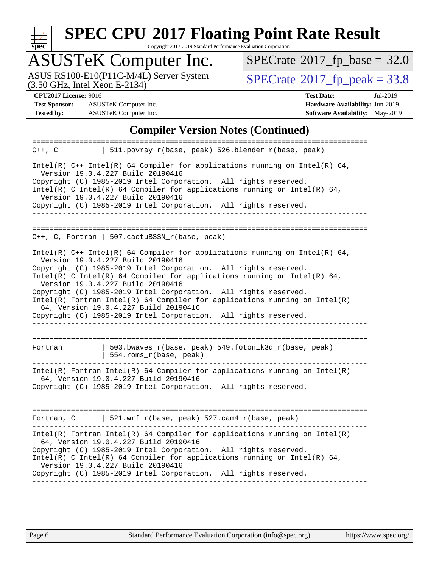

Copyright 2017-2019 Standard Performance Evaluation Corporation

## ASUSTeK Computer Inc.

ASUS RS100-E10(P11C-M/4L) Server System  $(3.50 \text{ GHz}, \text{ Intel Xeon E-2134})$   $\big| \text{ SPECrate}^{\circledR} 2017 \text{ fp\_peak} = 33.8$  $\big| \text{ SPECrate}^{\circledR} 2017 \text{ fp\_peak} = 33.8$  $\big| \text{ SPECrate}^{\circledR} 2017 \text{ fp\_peak} = 33.8$ 

 $SPECrate$ <sup>®</sup>[2017\\_fp\\_base =](http://www.spec.org/auto/cpu2017/Docs/result-fields.html#SPECrate2017fpbase) 32.0

**[Test Sponsor:](http://www.spec.org/auto/cpu2017/Docs/result-fields.html#TestSponsor)** ASUSTeK Computer Inc. **[Hardware Availability:](http://www.spec.org/auto/cpu2017/Docs/result-fields.html#HardwareAvailability)** Jun-2019 **[Tested by:](http://www.spec.org/auto/cpu2017/Docs/result-fields.html#Testedby)** ASUSTeK Computer Inc. **[Software Availability:](http://www.spec.org/auto/cpu2017/Docs/result-fields.html#SoftwareAvailability)** May-2019

**[CPU2017 License:](http://www.spec.org/auto/cpu2017/Docs/result-fields.html#CPU2017License)** 9016 **[Test Date:](http://www.spec.org/auto/cpu2017/Docs/result-fields.html#TestDate)** Jul-2019

#### **[Compiler Version Notes \(Continued\)](http://www.spec.org/auto/cpu2017/Docs/result-fields.html#CompilerVersionNotes)**

| =================                                                                                                                                                                                                                                                                                                                                                                                                                                                                                                                                                    |
|----------------------------------------------------------------------------------------------------------------------------------------------------------------------------------------------------------------------------------------------------------------------------------------------------------------------------------------------------------------------------------------------------------------------------------------------------------------------------------------------------------------------------------------------------------------------|
| 511.povray_r(base, peak) 526.blender_r(base, peak)<br>$C++$ , $C$                                                                                                                                                                                                                                                                                                                                                                                                                                                                                                    |
| Intel(R) $C++$ Intel(R) 64 Compiler for applications running on Intel(R) 64,<br>Version 19.0.4.227 Build 20190416<br>Copyright (C) 1985-2019 Intel Corporation. All rights reserved.<br>Intel(R) C Intel(R) 64 Compiler for applications running on Intel(R) 64,<br>Version 19.0.4.227 Build 20190416<br>Copyright (C) 1985-2019 Intel Corporation. All rights reserved.                                                                                                                                                                                             |
|                                                                                                                                                                                                                                                                                                                                                                                                                                                                                                                                                                      |
|                                                                                                                                                                                                                                                                                                                                                                                                                                                                                                                                                                      |
| C++, C, Fortran   507.cactuBSSN_r(base, peak)                                                                                                                                                                                                                                                                                                                                                                                                                                                                                                                        |
| Intel(R) $C++$ Intel(R) 64 Compiler for applications running on Intel(R) 64,<br>Version 19.0.4.227 Build 20190416<br>Copyright (C) 1985-2019 Intel Corporation. All rights reserved.<br>Intel(R) C Intel(R) 64 Compiler for applications running on Intel(R) 64,<br>Version 19.0.4.227 Build 20190416<br>Copyright (C) 1985-2019 Intel Corporation. All rights reserved.<br>$Intel(R)$ Fortran Intel(R) 64 Compiler for applications running on Intel(R)<br>64, Version 19.0.4.227 Build 20190416<br>Copyright (C) 1985-2019 Intel Corporation. All rights reserved. |
|                                                                                                                                                                                                                                                                                                                                                                                                                                                                                                                                                                      |
| 503.bwaves_r(base, peak) 549.fotonik3d_r(base, peak)<br>Fortran<br>554.roms_r(base, peak)                                                                                                                                                                                                                                                                                                                                                                                                                                                                            |
| $Intel(R)$ Fortran Intel(R) 64 Compiler for applications running on Intel(R)<br>64, Version 19.0.4.227 Build 20190416<br>Copyright (C) 1985-2019 Intel Corporation. All rights reserved.                                                                                                                                                                                                                                                                                                                                                                             |
|                                                                                                                                                                                                                                                                                                                                                                                                                                                                                                                                                                      |
| Fortran, C   521.wrf_r(base, peak) 527.cam4_r(base, peak)                                                                                                                                                                                                                                                                                                                                                                                                                                                                                                            |
| $Intel(R)$ Fortran Intel(R) 64 Compiler for applications running on Intel(R)<br>64, Version 19.0.4.227 Build 20190416<br>Copyright (C) 1985-2019 Intel Corporation. All rights reserved.<br>Intel(R) C Intel(R) 64 Compiler for applications running on Intel(R) 64,<br>Version 19.0.4.227 Build 20190416<br>Copyright (C) 1985-2019 Intel Corporation. All rights reserved.                                                                                                                                                                                         |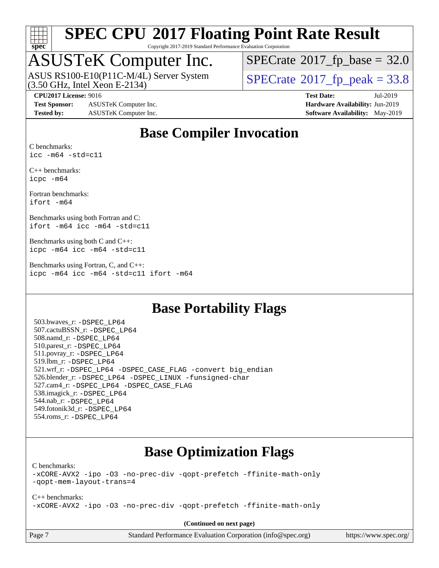

Copyright 2017-2019 Standard Performance Evaluation Corporation

### ASUSTeK Computer Inc.

ASUS RS100-E10(P11C-M/4L) Server System<br>(3.50 GHz, Intel Xeon E-2134)

 $SPECTate@2017_fp\_base = 32.0$ 

 $SPECTate@2017_fp\_peak = 33.8$ 

**[Test Sponsor:](http://www.spec.org/auto/cpu2017/Docs/result-fields.html#TestSponsor)** ASUSTeK Computer Inc. **[Hardware Availability:](http://www.spec.org/auto/cpu2017/Docs/result-fields.html#HardwareAvailability)** Jun-2019 **[Tested by:](http://www.spec.org/auto/cpu2017/Docs/result-fields.html#Testedby)** ASUSTeK Computer Inc. **[Software Availability:](http://www.spec.org/auto/cpu2017/Docs/result-fields.html#SoftwareAvailability)** May-2019

**[CPU2017 License:](http://www.spec.org/auto/cpu2017/Docs/result-fields.html#CPU2017License)** 9016 **[Test Date:](http://www.spec.org/auto/cpu2017/Docs/result-fields.html#TestDate)** Jul-2019

#### **[Base Compiler Invocation](http://www.spec.org/auto/cpu2017/Docs/result-fields.html#BaseCompilerInvocation)**

[C benchmarks](http://www.spec.org/auto/cpu2017/Docs/result-fields.html#Cbenchmarks): [icc -m64 -std=c11](http://www.spec.org/cpu2017/results/res2019q3/cpu2017-20190826-17241.flags.html#user_CCbase_intel_icc_64bit_c11_33ee0cdaae7deeeab2a9725423ba97205ce30f63b9926c2519791662299b76a0318f32ddfffdc46587804de3178b4f9328c46fa7c2b0cd779d7a61945c91cd35)

[C++ benchmarks:](http://www.spec.org/auto/cpu2017/Docs/result-fields.html#CXXbenchmarks) [icpc -m64](http://www.spec.org/cpu2017/results/res2019q3/cpu2017-20190826-17241.flags.html#user_CXXbase_intel_icpc_64bit_4ecb2543ae3f1412ef961e0650ca070fec7b7afdcd6ed48761b84423119d1bf6bdf5cad15b44d48e7256388bc77273b966e5eb805aefd121eb22e9299b2ec9d9)

[Fortran benchmarks](http://www.spec.org/auto/cpu2017/Docs/result-fields.html#Fortranbenchmarks): [ifort -m64](http://www.spec.org/cpu2017/results/res2019q3/cpu2017-20190826-17241.flags.html#user_FCbase_intel_ifort_64bit_24f2bb282fbaeffd6157abe4f878425411749daecae9a33200eee2bee2fe76f3b89351d69a8130dd5949958ce389cf37ff59a95e7a40d588e8d3a57e0c3fd751)

[Benchmarks using both Fortran and C](http://www.spec.org/auto/cpu2017/Docs/result-fields.html#BenchmarksusingbothFortranandC): [ifort -m64](http://www.spec.org/cpu2017/results/res2019q3/cpu2017-20190826-17241.flags.html#user_CC_FCbase_intel_ifort_64bit_24f2bb282fbaeffd6157abe4f878425411749daecae9a33200eee2bee2fe76f3b89351d69a8130dd5949958ce389cf37ff59a95e7a40d588e8d3a57e0c3fd751) [icc -m64 -std=c11](http://www.spec.org/cpu2017/results/res2019q3/cpu2017-20190826-17241.flags.html#user_CC_FCbase_intel_icc_64bit_c11_33ee0cdaae7deeeab2a9725423ba97205ce30f63b9926c2519791662299b76a0318f32ddfffdc46587804de3178b4f9328c46fa7c2b0cd779d7a61945c91cd35)

[Benchmarks using both C and C++:](http://www.spec.org/auto/cpu2017/Docs/result-fields.html#BenchmarksusingbothCandCXX) [icpc -m64](http://www.spec.org/cpu2017/results/res2019q3/cpu2017-20190826-17241.flags.html#user_CC_CXXbase_intel_icpc_64bit_4ecb2543ae3f1412ef961e0650ca070fec7b7afdcd6ed48761b84423119d1bf6bdf5cad15b44d48e7256388bc77273b966e5eb805aefd121eb22e9299b2ec9d9) [icc -m64 -std=c11](http://www.spec.org/cpu2017/results/res2019q3/cpu2017-20190826-17241.flags.html#user_CC_CXXbase_intel_icc_64bit_c11_33ee0cdaae7deeeab2a9725423ba97205ce30f63b9926c2519791662299b76a0318f32ddfffdc46587804de3178b4f9328c46fa7c2b0cd779d7a61945c91cd35)

[Benchmarks using Fortran, C, and C++:](http://www.spec.org/auto/cpu2017/Docs/result-fields.html#BenchmarksusingFortranCandCXX) [icpc -m64](http://www.spec.org/cpu2017/results/res2019q3/cpu2017-20190826-17241.flags.html#user_CC_CXX_FCbase_intel_icpc_64bit_4ecb2543ae3f1412ef961e0650ca070fec7b7afdcd6ed48761b84423119d1bf6bdf5cad15b44d48e7256388bc77273b966e5eb805aefd121eb22e9299b2ec9d9) [icc -m64 -std=c11](http://www.spec.org/cpu2017/results/res2019q3/cpu2017-20190826-17241.flags.html#user_CC_CXX_FCbase_intel_icc_64bit_c11_33ee0cdaae7deeeab2a9725423ba97205ce30f63b9926c2519791662299b76a0318f32ddfffdc46587804de3178b4f9328c46fa7c2b0cd779d7a61945c91cd35) [ifort -m64](http://www.spec.org/cpu2017/results/res2019q3/cpu2017-20190826-17241.flags.html#user_CC_CXX_FCbase_intel_ifort_64bit_24f2bb282fbaeffd6157abe4f878425411749daecae9a33200eee2bee2fe76f3b89351d69a8130dd5949958ce389cf37ff59a95e7a40d588e8d3a57e0c3fd751)

#### **[Base Portability Flags](http://www.spec.org/auto/cpu2017/Docs/result-fields.html#BasePortabilityFlags)**

 503.bwaves\_r: [-DSPEC\\_LP64](http://www.spec.org/cpu2017/results/res2019q3/cpu2017-20190826-17241.flags.html#suite_basePORTABILITY503_bwaves_r_DSPEC_LP64) 507.cactuBSSN\_r: [-DSPEC\\_LP64](http://www.spec.org/cpu2017/results/res2019q3/cpu2017-20190826-17241.flags.html#suite_basePORTABILITY507_cactuBSSN_r_DSPEC_LP64) 508.namd\_r: [-DSPEC\\_LP64](http://www.spec.org/cpu2017/results/res2019q3/cpu2017-20190826-17241.flags.html#suite_basePORTABILITY508_namd_r_DSPEC_LP64) 510.parest\_r: [-DSPEC\\_LP64](http://www.spec.org/cpu2017/results/res2019q3/cpu2017-20190826-17241.flags.html#suite_basePORTABILITY510_parest_r_DSPEC_LP64) 511.povray\_r: [-DSPEC\\_LP64](http://www.spec.org/cpu2017/results/res2019q3/cpu2017-20190826-17241.flags.html#suite_basePORTABILITY511_povray_r_DSPEC_LP64) 519.lbm\_r: [-DSPEC\\_LP64](http://www.spec.org/cpu2017/results/res2019q3/cpu2017-20190826-17241.flags.html#suite_basePORTABILITY519_lbm_r_DSPEC_LP64) 521.wrf\_r: [-DSPEC\\_LP64](http://www.spec.org/cpu2017/results/res2019q3/cpu2017-20190826-17241.flags.html#suite_basePORTABILITY521_wrf_r_DSPEC_LP64) [-DSPEC\\_CASE\\_FLAG](http://www.spec.org/cpu2017/results/res2019q3/cpu2017-20190826-17241.flags.html#b521.wrf_r_baseCPORTABILITY_DSPEC_CASE_FLAG) [-convert big\\_endian](http://www.spec.org/cpu2017/results/res2019q3/cpu2017-20190826-17241.flags.html#user_baseFPORTABILITY521_wrf_r_convert_big_endian_c3194028bc08c63ac5d04de18c48ce6d347e4e562e8892b8bdbdc0214820426deb8554edfa529a3fb25a586e65a3d812c835984020483e7e73212c4d31a38223) 526.blender\_r: [-DSPEC\\_LP64](http://www.spec.org/cpu2017/results/res2019q3/cpu2017-20190826-17241.flags.html#suite_basePORTABILITY526_blender_r_DSPEC_LP64) [-DSPEC\\_LINUX](http://www.spec.org/cpu2017/results/res2019q3/cpu2017-20190826-17241.flags.html#b526.blender_r_baseCPORTABILITY_DSPEC_LINUX) [-funsigned-char](http://www.spec.org/cpu2017/results/res2019q3/cpu2017-20190826-17241.flags.html#user_baseCPORTABILITY526_blender_r_force_uchar_40c60f00ab013830e2dd6774aeded3ff59883ba5a1fc5fc14077f794d777847726e2a5858cbc7672e36e1b067e7e5c1d9a74f7176df07886a243d7cc18edfe67) 527.cam4\_r: [-DSPEC\\_LP64](http://www.spec.org/cpu2017/results/res2019q3/cpu2017-20190826-17241.flags.html#suite_basePORTABILITY527_cam4_r_DSPEC_LP64) [-DSPEC\\_CASE\\_FLAG](http://www.spec.org/cpu2017/results/res2019q3/cpu2017-20190826-17241.flags.html#b527.cam4_r_baseCPORTABILITY_DSPEC_CASE_FLAG) 538.imagick\_r: [-DSPEC\\_LP64](http://www.spec.org/cpu2017/results/res2019q3/cpu2017-20190826-17241.flags.html#suite_basePORTABILITY538_imagick_r_DSPEC_LP64) 544.nab\_r: [-DSPEC\\_LP64](http://www.spec.org/cpu2017/results/res2019q3/cpu2017-20190826-17241.flags.html#suite_basePORTABILITY544_nab_r_DSPEC_LP64) 549.fotonik3d\_r: [-DSPEC\\_LP64](http://www.spec.org/cpu2017/results/res2019q3/cpu2017-20190826-17241.flags.html#suite_basePORTABILITY549_fotonik3d_r_DSPEC_LP64) 554.roms\_r: [-DSPEC\\_LP64](http://www.spec.org/cpu2017/results/res2019q3/cpu2017-20190826-17241.flags.html#suite_basePORTABILITY554_roms_r_DSPEC_LP64)

#### **[Base Optimization Flags](http://www.spec.org/auto/cpu2017/Docs/result-fields.html#BaseOptimizationFlags)**

[C benchmarks](http://www.spec.org/auto/cpu2017/Docs/result-fields.html#Cbenchmarks):

[-xCORE-AVX2](http://www.spec.org/cpu2017/results/res2019q3/cpu2017-20190826-17241.flags.html#user_CCbase_f-xCORE-AVX2) [-ipo](http://www.spec.org/cpu2017/results/res2019q3/cpu2017-20190826-17241.flags.html#user_CCbase_f-ipo) [-O3](http://www.spec.org/cpu2017/results/res2019q3/cpu2017-20190826-17241.flags.html#user_CCbase_f-O3) [-no-prec-div](http://www.spec.org/cpu2017/results/res2019q3/cpu2017-20190826-17241.flags.html#user_CCbase_f-no-prec-div) [-qopt-prefetch](http://www.spec.org/cpu2017/results/res2019q3/cpu2017-20190826-17241.flags.html#user_CCbase_f-qopt-prefetch) [-ffinite-math-only](http://www.spec.org/cpu2017/results/res2019q3/cpu2017-20190826-17241.flags.html#user_CCbase_f_finite_math_only_cb91587bd2077682c4b38af759c288ed7c732db004271a9512da14a4f8007909a5f1427ecbf1a0fb78ff2a814402c6114ac565ca162485bbcae155b5e4258871) [-qopt-mem-layout-trans=4](http://www.spec.org/cpu2017/results/res2019q3/cpu2017-20190826-17241.flags.html#user_CCbase_f-qopt-mem-layout-trans_fa39e755916c150a61361b7846f310bcdf6f04e385ef281cadf3647acec3f0ae266d1a1d22d972a7087a248fd4e6ca390a3634700869573d231a252c784941a8)

[C++ benchmarks:](http://www.spec.org/auto/cpu2017/Docs/result-fields.html#CXXbenchmarks) [-xCORE-AVX2](http://www.spec.org/cpu2017/results/res2019q3/cpu2017-20190826-17241.flags.html#user_CXXbase_f-xCORE-AVX2) [-ipo](http://www.spec.org/cpu2017/results/res2019q3/cpu2017-20190826-17241.flags.html#user_CXXbase_f-ipo) [-O3](http://www.spec.org/cpu2017/results/res2019q3/cpu2017-20190826-17241.flags.html#user_CXXbase_f-O3) [-no-prec-div](http://www.spec.org/cpu2017/results/res2019q3/cpu2017-20190826-17241.flags.html#user_CXXbase_f-no-prec-div) [-qopt-prefetch](http://www.spec.org/cpu2017/results/res2019q3/cpu2017-20190826-17241.flags.html#user_CXXbase_f-qopt-prefetch) [-ffinite-math-only](http://www.spec.org/cpu2017/results/res2019q3/cpu2017-20190826-17241.flags.html#user_CXXbase_f_finite_math_only_cb91587bd2077682c4b38af759c288ed7c732db004271a9512da14a4f8007909a5f1427ecbf1a0fb78ff2a814402c6114ac565ca162485bbcae155b5e4258871)

**(Continued on next page)**

proporation [\(info@spec.org\)](mailto:info@spec.org) <https://www.spec.org/>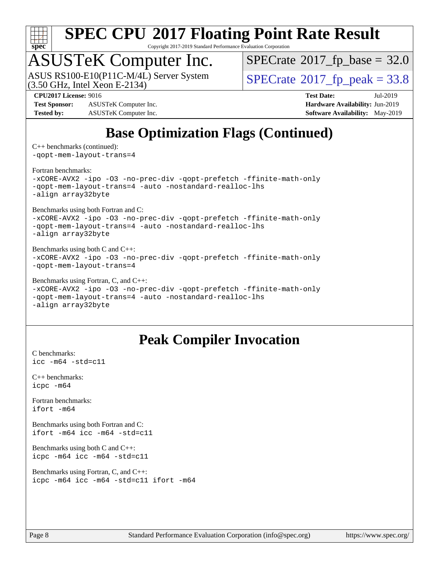

Copyright 2017-2019 Standard Performance Evaluation Corporation

### ASUSTeK Computer Inc.

ASUS RS100-E10(P11C-M/4L) Server System<br>(3.50 GHz, Intel Xeon E-2134)

 $SPECTate@2017_fp\_base = 32.0$ 

 $SPECTate@2017_fp\_peak = 33.8$ 

**[Test Sponsor:](http://www.spec.org/auto/cpu2017/Docs/result-fields.html#TestSponsor)** ASUSTeK Computer Inc. **[Hardware Availability:](http://www.spec.org/auto/cpu2017/Docs/result-fields.html#HardwareAvailability)** Jun-2019 **[Tested by:](http://www.spec.org/auto/cpu2017/Docs/result-fields.html#Testedby)** ASUSTeK Computer Inc. **[Software Availability:](http://www.spec.org/auto/cpu2017/Docs/result-fields.html#SoftwareAvailability)** May-2019

**[CPU2017 License:](http://www.spec.org/auto/cpu2017/Docs/result-fields.html#CPU2017License)** 9016 **[Test Date:](http://www.spec.org/auto/cpu2017/Docs/result-fields.html#TestDate)** Jul-2019

### **[Base Optimization Flags \(Continued\)](http://www.spec.org/auto/cpu2017/Docs/result-fields.html#BaseOptimizationFlags)**

[C++ benchmarks](http://www.spec.org/auto/cpu2017/Docs/result-fields.html#CXXbenchmarks) (continued): [-qopt-mem-layout-trans=4](http://www.spec.org/cpu2017/results/res2019q3/cpu2017-20190826-17241.flags.html#user_CXXbase_f-qopt-mem-layout-trans_fa39e755916c150a61361b7846f310bcdf6f04e385ef281cadf3647acec3f0ae266d1a1d22d972a7087a248fd4e6ca390a3634700869573d231a252c784941a8)

[Fortran benchmarks](http://www.spec.org/auto/cpu2017/Docs/result-fields.html#Fortranbenchmarks):

[-xCORE-AVX2](http://www.spec.org/cpu2017/results/res2019q3/cpu2017-20190826-17241.flags.html#user_FCbase_f-xCORE-AVX2) [-ipo](http://www.spec.org/cpu2017/results/res2019q3/cpu2017-20190826-17241.flags.html#user_FCbase_f-ipo) [-O3](http://www.spec.org/cpu2017/results/res2019q3/cpu2017-20190826-17241.flags.html#user_FCbase_f-O3) [-no-prec-div](http://www.spec.org/cpu2017/results/res2019q3/cpu2017-20190826-17241.flags.html#user_FCbase_f-no-prec-div) [-qopt-prefetch](http://www.spec.org/cpu2017/results/res2019q3/cpu2017-20190826-17241.flags.html#user_FCbase_f-qopt-prefetch) [-ffinite-math-only](http://www.spec.org/cpu2017/results/res2019q3/cpu2017-20190826-17241.flags.html#user_FCbase_f_finite_math_only_cb91587bd2077682c4b38af759c288ed7c732db004271a9512da14a4f8007909a5f1427ecbf1a0fb78ff2a814402c6114ac565ca162485bbcae155b5e4258871) [-qopt-mem-layout-trans=4](http://www.spec.org/cpu2017/results/res2019q3/cpu2017-20190826-17241.flags.html#user_FCbase_f-qopt-mem-layout-trans_fa39e755916c150a61361b7846f310bcdf6f04e385ef281cadf3647acec3f0ae266d1a1d22d972a7087a248fd4e6ca390a3634700869573d231a252c784941a8) [-auto](http://www.spec.org/cpu2017/results/res2019q3/cpu2017-20190826-17241.flags.html#user_FCbase_f-auto) [-nostandard-realloc-lhs](http://www.spec.org/cpu2017/results/res2019q3/cpu2017-20190826-17241.flags.html#user_FCbase_f_2003_std_realloc_82b4557e90729c0f113870c07e44d33d6f5a304b4f63d4c15d2d0f1fab99f5daaed73bdb9275d9ae411527f28b936061aa8b9c8f2d63842963b95c9dd6426b8a) [-align array32byte](http://www.spec.org/cpu2017/results/res2019q3/cpu2017-20190826-17241.flags.html#user_FCbase_align_array32byte_b982fe038af199962ba9a80c053b8342c548c85b40b8e86eb3cc33dee0d7986a4af373ac2d51c3f7cf710a18d62fdce2948f201cd044323541f22fc0fffc51b6)

[Benchmarks using both Fortran and C](http://www.spec.org/auto/cpu2017/Docs/result-fields.html#BenchmarksusingbothFortranandC):

[-xCORE-AVX2](http://www.spec.org/cpu2017/results/res2019q3/cpu2017-20190826-17241.flags.html#user_CC_FCbase_f-xCORE-AVX2) [-ipo](http://www.spec.org/cpu2017/results/res2019q3/cpu2017-20190826-17241.flags.html#user_CC_FCbase_f-ipo) [-O3](http://www.spec.org/cpu2017/results/res2019q3/cpu2017-20190826-17241.flags.html#user_CC_FCbase_f-O3) [-no-prec-div](http://www.spec.org/cpu2017/results/res2019q3/cpu2017-20190826-17241.flags.html#user_CC_FCbase_f-no-prec-div) [-qopt-prefetch](http://www.spec.org/cpu2017/results/res2019q3/cpu2017-20190826-17241.flags.html#user_CC_FCbase_f-qopt-prefetch) [-ffinite-math-only](http://www.spec.org/cpu2017/results/res2019q3/cpu2017-20190826-17241.flags.html#user_CC_FCbase_f_finite_math_only_cb91587bd2077682c4b38af759c288ed7c732db004271a9512da14a4f8007909a5f1427ecbf1a0fb78ff2a814402c6114ac565ca162485bbcae155b5e4258871) [-qopt-mem-layout-trans=4](http://www.spec.org/cpu2017/results/res2019q3/cpu2017-20190826-17241.flags.html#user_CC_FCbase_f-qopt-mem-layout-trans_fa39e755916c150a61361b7846f310bcdf6f04e385ef281cadf3647acec3f0ae266d1a1d22d972a7087a248fd4e6ca390a3634700869573d231a252c784941a8) [-auto](http://www.spec.org/cpu2017/results/res2019q3/cpu2017-20190826-17241.flags.html#user_CC_FCbase_f-auto) [-nostandard-realloc-lhs](http://www.spec.org/cpu2017/results/res2019q3/cpu2017-20190826-17241.flags.html#user_CC_FCbase_f_2003_std_realloc_82b4557e90729c0f113870c07e44d33d6f5a304b4f63d4c15d2d0f1fab99f5daaed73bdb9275d9ae411527f28b936061aa8b9c8f2d63842963b95c9dd6426b8a) [-align array32byte](http://www.spec.org/cpu2017/results/res2019q3/cpu2017-20190826-17241.flags.html#user_CC_FCbase_align_array32byte_b982fe038af199962ba9a80c053b8342c548c85b40b8e86eb3cc33dee0d7986a4af373ac2d51c3f7cf710a18d62fdce2948f201cd044323541f22fc0fffc51b6)

[Benchmarks using both C and C++](http://www.spec.org/auto/cpu2017/Docs/result-fields.html#BenchmarksusingbothCandCXX): [-xCORE-AVX2](http://www.spec.org/cpu2017/results/res2019q3/cpu2017-20190826-17241.flags.html#user_CC_CXXbase_f-xCORE-AVX2) [-ipo](http://www.spec.org/cpu2017/results/res2019q3/cpu2017-20190826-17241.flags.html#user_CC_CXXbase_f-ipo) [-O3](http://www.spec.org/cpu2017/results/res2019q3/cpu2017-20190826-17241.flags.html#user_CC_CXXbase_f-O3) [-no-prec-div](http://www.spec.org/cpu2017/results/res2019q3/cpu2017-20190826-17241.flags.html#user_CC_CXXbase_f-no-prec-div) [-qopt-prefetch](http://www.spec.org/cpu2017/results/res2019q3/cpu2017-20190826-17241.flags.html#user_CC_CXXbase_f-qopt-prefetch) [-ffinite-math-only](http://www.spec.org/cpu2017/results/res2019q3/cpu2017-20190826-17241.flags.html#user_CC_CXXbase_f_finite_math_only_cb91587bd2077682c4b38af759c288ed7c732db004271a9512da14a4f8007909a5f1427ecbf1a0fb78ff2a814402c6114ac565ca162485bbcae155b5e4258871) [-qopt-mem-layout-trans=4](http://www.spec.org/cpu2017/results/res2019q3/cpu2017-20190826-17241.flags.html#user_CC_CXXbase_f-qopt-mem-layout-trans_fa39e755916c150a61361b7846f310bcdf6f04e385ef281cadf3647acec3f0ae266d1a1d22d972a7087a248fd4e6ca390a3634700869573d231a252c784941a8)

[Benchmarks using Fortran, C, and C++:](http://www.spec.org/auto/cpu2017/Docs/result-fields.html#BenchmarksusingFortranCandCXX) [-xCORE-AVX2](http://www.spec.org/cpu2017/results/res2019q3/cpu2017-20190826-17241.flags.html#user_CC_CXX_FCbase_f-xCORE-AVX2) [-ipo](http://www.spec.org/cpu2017/results/res2019q3/cpu2017-20190826-17241.flags.html#user_CC_CXX_FCbase_f-ipo) [-O3](http://www.spec.org/cpu2017/results/res2019q3/cpu2017-20190826-17241.flags.html#user_CC_CXX_FCbase_f-O3) [-no-prec-div](http://www.spec.org/cpu2017/results/res2019q3/cpu2017-20190826-17241.flags.html#user_CC_CXX_FCbase_f-no-prec-div) [-qopt-prefetch](http://www.spec.org/cpu2017/results/res2019q3/cpu2017-20190826-17241.flags.html#user_CC_CXX_FCbase_f-qopt-prefetch) [-ffinite-math-only](http://www.spec.org/cpu2017/results/res2019q3/cpu2017-20190826-17241.flags.html#user_CC_CXX_FCbase_f_finite_math_only_cb91587bd2077682c4b38af759c288ed7c732db004271a9512da14a4f8007909a5f1427ecbf1a0fb78ff2a814402c6114ac565ca162485bbcae155b5e4258871) [-qopt-mem-layout-trans=4](http://www.spec.org/cpu2017/results/res2019q3/cpu2017-20190826-17241.flags.html#user_CC_CXX_FCbase_f-qopt-mem-layout-trans_fa39e755916c150a61361b7846f310bcdf6f04e385ef281cadf3647acec3f0ae266d1a1d22d972a7087a248fd4e6ca390a3634700869573d231a252c784941a8) [-auto](http://www.spec.org/cpu2017/results/res2019q3/cpu2017-20190826-17241.flags.html#user_CC_CXX_FCbase_f-auto) [-nostandard-realloc-lhs](http://www.spec.org/cpu2017/results/res2019q3/cpu2017-20190826-17241.flags.html#user_CC_CXX_FCbase_f_2003_std_realloc_82b4557e90729c0f113870c07e44d33d6f5a304b4f63d4c15d2d0f1fab99f5daaed73bdb9275d9ae411527f28b936061aa8b9c8f2d63842963b95c9dd6426b8a) [-align array32byte](http://www.spec.org/cpu2017/results/res2019q3/cpu2017-20190826-17241.flags.html#user_CC_CXX_FCbase_align_array32byte_b982fe038af199962ba9a80c053b8342c548c85b40b8e86eb3cc33dee0d7986a4af373ac2d51c3f7cf710a18d62fdce2948f201cd044323541f22fc0fffc51b6)

### **[Peak Compiler Invocation](http://www.spec.org/auto/cpu2017/Docs/result-fields.html#PeakCompilerInvocation)**

[C benchmarks](http://www.spec.org/auto/cpu2017/Docs/result-fields.html#Cbenchmarks): [icc -m64 -std=c11](http://www.spec.org/cpu2017/results/res2019q3/cpu2017-20190826-17241.flags.html#user_CCpeak_intel_icc_64bit_c11_33ee0cdaae7deeeab2a9725423ba97205ce30f63b9926c2519791662299b76a0318f32ddfffdc46587804de3178b4f9328c46fa7c2b0cd779d7a61945c91cd35)

[C++ benchmarks:](http://www.spec.org/auto/cpu2017/Docs/result-fields.html#CXXbenchmarks) [icpc -m64](http://www.spec.org/cpu2017/results/res2019q3/cpu2017-20190826-17241.flags.html#user_CXXpeak_intel_icpc_64bit_4ecb2543ae3f1412ef961e0650ca070fec7b7afdcd6ed48761b84423119d1bf6bdf5cad15b44d48e7256388bc77273b966e5eb805aefd121eb22e9299b2ec9d9)

[Fortran benchmarks](http://www.spec.org/auto/cpu2017/Docs/result-fields.html#Fortranbenchmarks): [ifort -m64](http://www.spec.org/cpu2017/results/res2019q3/cpu2017-20190826-17241.flags.html#user_FCpeak_intel_ifort_64bit_24f2bb282fbaeffd6157abe4f878425411749daecae9a33200eee2bee2fe76f3b89351d69a8130dd5949958ce389cf37ff59a95e7a40d588e8d3a57e0c3fd751)

[Benchmarks using both Fortran and C](http://www.spec.org/auto/cpu2017/Docs/result-fields.html#BenchmarksusingbothFortranandC): [ifort -m64](http://www.spec.org/cpu2017/results/res2019q3/cpu2017-20190826-17241.flags.html#user_CC_FCpeak_intel_ifort_64bit_24f2bb282fbaeffd6157abe4f878425411749daecae9a33200eee2bee2fe76f3b89351d69a8130dd5949958ce389cf37ff59a95e7a40d588e8d3a57e0c3fd751) [icc -m64 -std=c11](http://www.spec.org/cpu2017/results/res2019q3/cpu2017-20190826-17241.flags.html#user_CC_FCpeak_intel_icc_64bit_c11_33ee0cdaae7deeeab2a9725423ba97205ce30f63b9926c2519791662299b76a0318f32ddfffdc46587804de3178b4f9328c46fa7c2b0cd779d7a61945c91cd35)

[Benchmarks using both C and C++](http://www.spec.org/auto/cpu2017/Docs/result-fields.html#BenchmarksusingbothCandCXX): [icpc -m64](http://www.spec.org/cpu2017/results/res2019q3/cpu2017-20190826-17241.flags.html#user_CC_CXXpeak_intel_icpc_64bit_4ecb2543ae3f1412ef961e0650ca070fec7b7afdcd6ed48761b84423119d1bf6bdf5cad15b44d48e7256388bc77273b966e5eb805aefd121eb22e9299b2ec9d9) [icc -m64 -std=c11](http://www.spec.org/cpu2017/results/res2019q3/cpu2017-20190826-17241.flags.html#user_CC_CXXpeak_intel_icc_64bit_c11_33ee0cdaae7deeeab2a9725423ba97205ce30f63b9926c2519791662299b76a0318f32ddfffdc46587804de3178b4f9328c46fa7c2b0cd779d7a61945c91cd35)

```
Benchmarks using Fortran, C, and C++: 
icpc -m64 icc -m64 -std=c11 ifort -m64
```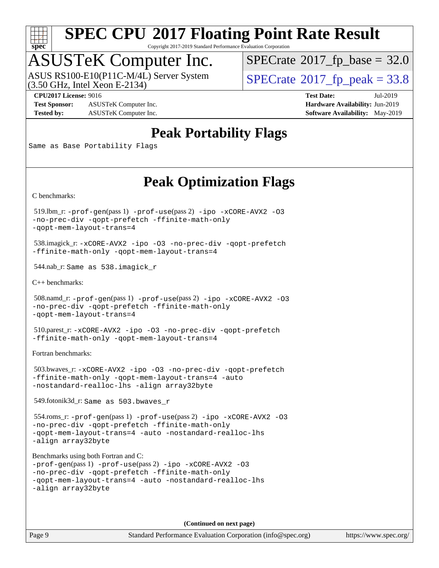

Copyright 2017-2019 Standard Performance Evaluation Corporation

### ASUSTeK Computer Inc.

ASUS RS100-E10(P11C-M/4L) Server System<br>(3.50 GHz, Intel Xeon E-2134)

 $SPECTate@2017_fp\_base = 32.0$ 

**[Test Sponsor:](http://www.spec.org/auto/cpu2017/Docs/result-fields.html#TestSponsor)** ASUSTeK Computer Inc. **[Hardware Availability:](http://www.spec.org/auto/cpu2017/Docs/result-fields.html#HardwareAvailability)** Jun-2019 **[Tested by:](http://www.spec.org/auto/cpu2017/Docs/result-fields.html#Testedby)** ASUSTeK Computer Inc. **[Software Availability:](http://www.spec.org/auto/cpu2017/Docs/result-fields.html#SoftwareAvailability)** May-2019

 $SPECTate@2017_fp\_peak = 33.8$ 

**[CPU2017 License:](http://www.spec.org/auto/cpu2017/Docs/result-fields.html#CPU2017License)** 9016 **[Test Date:](http://www.spec.org/auto/cpu2017/Docs/result-fields.html#TestDate)** Jul-2019

#### **[Peak Portability Flags](http://www.spec.org/auto/cpu2017/Docs/result-fields.html#PeakPortabilityFlags)**

Same as Base Portability Flags

#### **[Peak Optimization Flags](http://www.spec.org/auto/cpu2017/Docs/result-fields.html#PeakOptimizationFlags)**

[C benchmarks](http://www.spec.org/auto/cpu2017/Docs/result-fields.html#Cbenchmarks):

 519.lbm\_r: [-prof-gen](http://www.spec.org/cpu2017/results/res2019q3/cpu2017-20190826-17241.flags.html#user_peakPASS1_CFLAGSPASS1_LDFLAGS519_lbm_r_prof_gen_5aa4926d6013ddb2a31985c654b3eb18169fc0c6952a63635c234f711e6e63dd76e94ad52365559451ec499a2cdb89e4dc58ba4c67ef54ca681ffbe1461d6b36)(pass 1) [-prof-use](http://www.spec.org/cpu2017/results/res2019q3/cpu2017-20190826-17241.flags.html#user_peakPASS2_CFLAGSPASS2_LDFLAGS519_lbm_r_prof_use_1a21ceae95f36a2b53c25747139a6c16ca95bd9def2a207b4f0849963b97e94f5260e30a0c64f4bb623698870e679ca08317ef8150905d41bd88c6f78df73f19)(pass 2) [-ipo](http://www.spec.org/cpu2017/results/res2019q3/cpu2017-20190826-17241.flags.html#user_peakPASS1_COPTIMIZEPASS2_COPTIMIZE519_lbm_r_f-ipo) [-xCORE-AVX2](http://www.spec.org/cpu2017/results/res2019q3/cpu2017-20190826-17241.flags.html#user_peakPASS2_COPTIMIZE519_lbm_r_f-xCORE-AVX2) [-O3](http://www.spec.org/cpu2017/results/res2019q3/cpu2017-20190826-17241.flags.html#user_peakPASS1_COPTIMIZEPASS2_COPTIMIZE519_lbm_r_f-O3) [-no-prec-div](http://www.spec.org/cpu2017/results/res2019q3/cpu2017-20190826-17241.flags.html#user_peakPASS1_COPTIMIZEPASS2_COPTIMIZE519_lbm_r_f-no-prec-div) [-qopt-prefetch](http://www.spec.org/cpu2017/results/res2019q3/cpu2017-20190826-17241.flags.html#user_peakPASS1_COPTIMIZEPASS2_COPTIMIZE519_lbm_r_f-qopt-prefetch) [-ffinite-math-only](http://www.spec.org/cpu2017/results/res2019q3/cpu2017-20190826-17241.flags.html#user_peakPASS1_COPTIMIZEPASS2_COPTIMIZE519_lbm_r_f_finite_math_only_cb91587bd2077682c4b38af759c288ed7c732db004271a9512da14a4f8007909a5f1427ecbf1a0fb78ff2a814402c6114ac565ca162485bbcae155b5e4258871) [-qopt-mem-layout-trans=4](http://www.spec.org/cpu2017/results/res2019q3/cpu2017-20190826-17241.flags.html#user_peakPASS1_COPTIMIZEPASS2_COPTIMIZE519_lbm_r_f-qopt-mem-layout-trans_fa39e755916c150a61361b7846f310bcdf6f04e385ef281cadf3647acec3f0ae266d1a1d22d972a7087a248fd4e6ca390a3634700869573d231a252c784941a8)

 538.imagick\_r: [-xCORE-AVX2](http://www.spec.org/cpu2017/results/res2019q3/cpu2017-20190826-17241.flags.html#user_peakCOPTIMIZE538_imagick_r_f-xCORE-AVX2) [-ipo](http://www.spec.org/cpu2017/results/res2019q3/cpu2017-20190826-17241.flags.html#user_peakCOPTIMIZE538_imagick_r_f-ipo) [-O3](http://www.spec.org/cpu2017/results/res2019q3/cpu2017-20190826-17241.flags.html#user_peakCOPTIMIZE538_imagick_r_f-O3) [-no-prec-div](http://www.spec.org/cpu2017/results/res2019q3/cpu2017-20190826-17241.flags.html#user_peakCOPTIMIZE538_imagick_r_f-no-prec-div) [-qopt-prefetch](http://www.spec.org/cpu2017/results/res2019q3/cpu2017-20190826-17241.flags.html#user_peakCOPTIMIZE538_imagick_r_f-qopt-prefetch) [-ffinite-math-only](http://www.spec.org/cpu2017/results/res2019q3/cpu2017-20190826-17241.flags.html#user_peakCOPTIMIZE538_imagick_r_f_finite_math_only_cb91587bd2077682c4b38af759c288ed7c732db004271a9512da14a4f8007909a5f1427ecbf1a0fb78ff2a814402c6114ac565ca162485bbcae155b5e4258871) [-qopt-mem-layout-trans=4](http://www.spec.org/cpu2017/results/res2019q3/cpu2017-20190826-17241.flags.html#user_peakCOPTIMIZE538_imagick_r_f-qopt-mem-layout-trans_fa39e755916c150a61361b7846f310bcdf6f04e385ef281cadf3647acec3f0ae266d1a1d22d972a7087a248fd4e6ca390a3634700869573d231a252c784941a8)

544.nab\_r: Same as 538.imagick\_r

[C++ benchmarks:](http://www.spec.org/auto/cpu2017/Docs/result-fields.html#CXXbenchmarks)

```
 508.namd_r: -prof-gen(pass 1) -prof-use(pass 2) -ipo -xCORE-AVX2 -O3
-no-prec-div -qopt-prefetch -ffinite-math-only
-qopt-mem-layout-trans=4
```
 510.parest\_r: [-xCORE-AVX2](http://www.spec.org/cpu2017/results/res2019q3/cpu2017-20190826-17241.flags.html#user_peakCXXOPTIMIZE510_parest_r_f-xCORE-AVX2) [-ipo](http://www.spec.org/cpu2017/results/res2019q3/cpu2017-20190826-17241.flags.html#user_peakCXXOPTIMIZE510_parest_r_f-ipo) [-O3](http://www.spec.org/cpu2017/results/res2019q3/cpu2017-20190826-17241.flags.html#user_peakCXXOPTIMIZE510_parest_r_f-O3) [-no-prec-div](http://www.spec.org/cpu2017/results/res2019q3/cpu2017-20190826-17241.flags.html#user_peakCXXOPTIMIZE510_parest_r_f-no-prec-div) [-qopt-prefetch](http://www.spec.org/cpu2017/results/res2019q3/cpu2017-20190826-17241.flags.html#user_peakCXXOPTIMIZE510_parest_r_f-qopt-prefetch) [-ffinite-math-only](http://www.spec.org/cpu2017/results/res2019q3/cpu2017-20190826-17241.flags.html#user_peakCXXOPTIMIZE510_parest_r_f_finite_math_only_cb91587bd2077682c4b38af759c288ed7c732db004271a9512da14a4f8007909a5f1427ecbf1a0fb78ff2a814402c6114ac565ca162485bbcae155b5e4258871) [-qopt-mem-layout-trans=4](http://www.spec.org/cpu2017/results/res2019q3/cpu2017-20190826-17241.flags.html#user_peakCXXOPTIMIZE510_parest_r_f-qopt-mem-layout-trans_fa39e755916c150a61361b7846f310bcdf6f04e385ef281cadf3647acec3f0ae266d1a1d22d972a7087a248fd4e6ca390a3634700869573d231a252c784941a8)

[Fortran benchmarks](http://www.spec.org/auto/cpu2017/Docs/result-fields.html#Fortranbenchmarks):

 503.bwaves\_r: [-xCORE-AVX2](http://www.spec.org/cpu2017/results/res2019q3/cpu2017-20190826-17241.flags.html#user_peakFOPTIMIZE503_bwaves_r_f-xCORE-AVX2) [-ipo](http://www.spec.org/cpu2017/results/res2019q3/cpu2017-20190826-17241.flags.html#user_peakFOPTIMIZE503_bwaves_r_f-ipo) [-O3](http://www.spec.org/cpu2017/results/res2019q3/cpu2017-20190826-17241.flags.html#user_peakFOPTIMIZE503_bwaves_r_f-O3) [-no-prec-div](http://www.spec.org/cpu2017/results/res2019q3/cpu2017-20190826-17241.flags.html#user_peakFOPTIMIZE503_bwaves_r_f-no-prec-div) [-qopt-prefetch](http://www.spec.org/cpu2017/results/res2019q3/cpu2017-20190826-17241.flags.html#user_peakFOPTIMIZE503_bwaves_r_f-qopt-prefetch) [-ffinite-math-only](http://www.spec.org/cpu2017/results/res2019q3/cpu2017-20190826-17241.flags.html#user_peakFOPTIMIZE503_bwaves_r_f_finite_math_only_cb91587bd2077682c4b38af759c288ed7c732db004271a9512da14a4f8007909a5f1427ecbf1a0fb78ff2a814402c6114ac565ca162485bbcae155b5e4258871) [-qopt-mem-layout-trans=4](http://www.spec.org/cpu2017/results/res2019q3/cpu2017-20190826-17241.flags.html#user_peakFOPTIMIZE503_bwaves_r_f-qopt-mem-layout-trans_fa39e755916c150a61361b7846f310bcdf6f04e385ef281cadf3647acec3f0ae266d1a1d22d972a7087a248fd4e6ca390a3634700869573d231a252c784941a8) [-auto](http://www.spec.org/cpu2017/results/res2019q3/cpu2017-20190826-17241.flags.html#user_peakFOPTIMIZE503_bwaves_r_f-auto) [-nostandard-realloc-lhs](http://www.spec.org/cpu2017/results/res2019q3/cpu2017-20190826-17241.flags.html#user_peakEXTRA_FOPTIMIZE503_bwaves_r_f_2003_std_realloc_82b4557e90729c0f113870c07e44d33d6f5a304b4f63d4c15d2d0f1fab99f5daaed73bdb9275d9ae411527f28b936061aa8b9c8f2d63842963b95c9dd6426b8a) [-align array32byte](http://www.spec.org/cpu2017/results/res2019q3/cpu2017-20190826-17241.flags.html#user_peakEXTRA_FOPTIMIZE503_bwaves_r_align_array32byte_b982fe038af199962ba9a80c053b8342c548c85b40b8e86eb3cc33dee0d7986a4af373ac2d51c3f7cf710a18d62fdce2948f201cd044323541f22fc0fffc51b6)

549.fotonik3d\_r: Same as 503.bwaves\_r

 554.roms\_r: [-prof-gen](http://www.spec.org/cpu2017/results/res2019q3/cpu2017-20190826-17241.flags.html#user_peakPASS1_FFLAGSPASS1_LDFLAGS554_roms_r_prof_gen_5aa4926d6013ddb2a31985c654b3eb18169fc0c6952a63635c234f711e6e63dd76e94ad52365559451ec499a2cdb89e4dc58ba4c67ef54ca681ffbe1461d6b36)(pass 1) [-prof-use](http://www.spec.org/cpu2017/results/res2019q3/cpu2017-20190826-17241.flags.html#user_peakPASS2_FFLAGSPASS2_LDFLAGS554_roms_r_prof_use_1a21ceae95f36a2b53c25747139a6c16ca95bd9def2a207b4f0849963b97e94f5260e30a0c64f4bb623698870e679ca08317ef8150905d41bd88c6f78df73f19)(pass 2) [-ipo](http://www.spec.org/cpu2017/results/res2019q3/cpu2017-20190826-17241.flags.html#user_peakPASS1_FOPTIMIZEPASS2_FOPTIMIZE554_roms_r_f-ipo) [-xCORE-AVX2](http://www.spec.org/cpu2017/results/res2019q3/cpu2017-20190826-17241.flags.html#user_peakPASS2_FOPTIMIZE554_roms_r_f-xCORE-AVX2) [-O3](http://www.spec.org/cpu2017/results/res2019q3/cpu2017-20190826-17241.flags.html#user_peakPASS1_FOPTIMIZEPASS2_FOPTIMIZE554_roms_r_f-O3) [-no-prec-div](http://www.spec.org/cpu2017/results/res2019q3/cpu2017-20190826-17241.flags.html#user_peakPASS1_FOPTIMIZEPASS2_FOPTIMIZE554_roms_r_f-no-prec-div) [-qopt-prefetch](http://www.spec.org/cpu2017/results/res2019q3/cpu2017-20190826-17241.flags.html#user_peakPASS1_FOPTIMIZEPASS2_FOPTIMIZE554_roms_r_f-qopt-prefetch) [-ffinite-math-only](http://www.spec.org/cpu2017/results/res2019q3/cpu2017-20190826-17241.flags.html#user_peakPASS1_FOPTIMIZEPASS2_FOPTIMIZE554_roms_r_f_finite_math_only_cb91587bd2077682c4b38af759c288ed7c732db004271a9512da14a4f8007909a5f1427ecbf1a0fb78ff2a814402c6114ac565ca162485bbcae155b5e4258871) [-qopt-mem-layout-trans=4](http://www.spec.org/cpu2017/results/res2019q3/cpu2017-20190826-17241.flags.html#user_peakPASS1_FOPTIMIZEPASS2_FOPTIMIZE554_roms_r_f-qopt-mem-layout-trans_fa39e755916c150a61361b7846f310bcdf6f04e385ef281cadf3647acec3f0ae266d1a1d22d972a7087a248fd4e6ca390a3634700869573d231a252c784941a8) [-auto](http://www.spec.org/cpu2017/results/res2019q3/cpu2017-20190826-17241.flags.html#user_peakPASS2_FOPTIMIZE554_roms_r_f-auto) [-nostandard-realloc-lhs](http://www.spec.org/cpu2017/results/res2019q3/cpu2017-20190826-17241.flags.html#user_peakEXTRA_FOPTIMIZE554_roms_r_f_2003_std_realloc_82b4557e90729c0f113870c07e44d33d6f5a304b4f63d4c15d2d0f1fab99f5daaed73bdb9275d9ae411527f28b936061aa8b9c8f2d63842963b95c9dd6426b8a) [-align array32byte](http://www.spec.org/cpu2017/results/res2019q3/cpu2017-20190826-17241.flags.html#user_peakEXTRA_FOPTIMIZE554_roms_r_align_array32byte_b982fe038af199962ba9a80c053b8342c548c85b40b8e86eb3cc33dee0d7986a4af373ac2d51c3f7cf710a18d62fdce2948f201cd044323541f22fc0fffc51b6)

[Benchmarks using both Fortran and C](http://www.spec.org/auto/cpu2017/Docs/result-fields.html#BenchmarksusingbothFortranandC):

```
-prof-gen(pass 1) -prof-use(pass 2) -ipo -xCORE-AVX2 -O3
-no-prec-div -qopt-prefetch -ffinite-math-only
-qopt-mem-layout-trans=4 -auto -nostandard-realloc-lhs
-align array32byte
```
**(Continued on next page)**